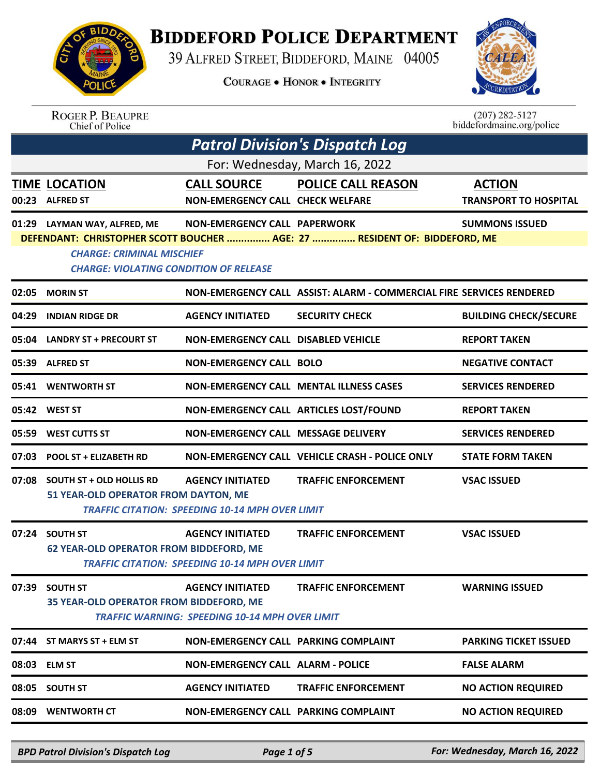

## **BIDDEFORD POLICE DEPARTMENT**

39 ALFRED STREET, BIDDEFORD, MAINE 04005

**COURAGE . HONOR . INTEGRITY** 



 $(207)$  282-5127 biddefordmaine.org/police

## ROGER P. BEAUPRE<br>Chief of Police

|       |                                                                                                                   |                                                                                   | <b>Patrol Division's Dispatch Log</b>                                     |                                               |
|-------|-------------------------------------------------------------------------------------------------------------------|-----------------------------------------------------------------------------------|---------------------------------------------------------------------------|-----------------------------------------------|
|       |                                                                                                                   |                                                                                   | For: Wednesday, March 16, 2022                                            |                                               |
|       | <b>TIME LOCATION</b><br>00:23 ALFRED ST                                                                           | <b>CALL SOURCE</b><br><b>NON-EMERGENCY CALL CHECK WELFARE</b>                     | <b>POLICE CALL REASON</b>                                                 | <b>ACTION</b><br><b>TRANSPORT TO HOSPITAL</b> |
|       | 01:29 LAYMAN WAY, ALFRED, ME<br><b>CHARGE: CRIMINAL MISCHIEF</b><br><b>CHARGE: VIOLATING CONDITION OF RELEASE</b> | <b>NON-EMERGENCY CALL PAPERWORK</b>                                               | DEFENDANT: CHRISTOPHER SCOTT BOUCHER  AGE: 27  RESIDENT OF: BIDDEFORD, ME | <b>SUMMONS ISSUED</b>                         |
|       | 02:05 MORIN ST                                                                                                    |                                                                                   | NON-EMERGENCY CALL ASSIST: ALARM - COMMERCIAL FIRE SERVICES RENDERED      |                                               |
| 04:29 | <b>INDIAN RIDGE DR</b>                                                                                            | <b>AGENCY INITIATED</b>                                                           | <b>SECURITY CHECK</b>                                                     | <b>BUILDING CHECK/SECURE</b>                  |
|       | 05:04 LANDRY ST + PRECOURT ST                                                                                     | NON-EMERGENCY CALL DISABLED VEHICLE                                               |                                                                           | <b>REPORT TAKEN</b>                           |
|       | 05:39 ALFRED ST                                                                                                   | <b>NON-EMERGENCY CALL BOLO</b>                                                    |                                                                           | <b>NEGATIVE CONTACT</b>                       |
|       | 05:41 WENTWORTH ST                                                                                                |                                                                                   | NON-EMERGENCY CALL MENTAL ILLNESS CASES                                   | <b>SERVICES RENDERED</b>                      |
|       | 05:42 WEST ST                                                                                                     |                                                                                   | NON-EMERGENCY CALL ARTICLES LOST/FOUND                                    | <b>REPORT TAKEN</b>                           |
| 05:59 | <b>WEST CUTTS ST</b>                                                                                              | NON-EMERGENCY CALL MESSAGE DELIVERY                                               |                                                                           | <b>SERVICES RENDERED</b>                      |
|       | 07:03 POOL ST + ELIZABETH RD                                                                                      |                                                                                   | NON-EMERGENCY CALL VEHICLE CRASH - POLICE ONLY                            | <b>STATE FORM TAKEN</b>                       |
|       | 07:08 SOUTH ST + OLD HOLLIS RD<br>51 YEAR-OLD OPERATOR FROM DAYTON, ME                                            | <b>AGENCY INITIATED</b><br><b>TRAFFIC CITATION: SPEEDING 10-14 MPH OVER LIMIT</b> | <b>TRAFFIC ENFORCEMENT</b>                                                | <b>VSAC ISSUED</b>                            |
|       | 07:24 SOUTH ST<br><b>62 YEAR-OLD OPERATOR FROM BIDDEFORD, ME</b>                                                  | <b>AGENCY INITIATED</b><br><b>TRAFFIC CITATION: SPEEDING 10-14 MPH OVER LIMIT</b> | <b>TRAFFIC ENFORCEMENT</b>                                                | <b>VSAC ISSUED</b>                            |
| 07:39 | <b>SOUTH ST</b><br>35 YEAR-OLD OPERATOR FROM BIDDEFORD, ME                                                        | <b>AGENCY INITIATED</b><br><b>TRAFFIC WARNING: SPEEDING 10-14 MPH OVER LIMIT</b>  | <b>TRAFFIC ENFORCEMENT</b>                                                | <b>WARNING ISSUED</b>                         |
|       | 07:44 ST MARYS ST + ELM ST                                                                                        | NON-EMERGENCY CALL PARKING COMPLAINT                                              |                                                                           | <b>PARKING TICKET ISSUED</b>                  |
|       | 08:03 ELM ST                                                                                                      | <b>NON-EMERGENCY CALL ALARM - POLICE</b>                                          |                                                                           | <b>FALSE ALARM</b>                            |
|       | 08:05 SOUTH ST                                                                                                    | <b>AGENCY INITIATED</b>                                                           | <b>TRAFFIC ENFORCEMENT</b>                                                | <b>NO ACTION REQUIRED</b>                     |
|       | 08:09 WENTWORTH CT                                                                                                | NON-EMERGENCY CALL PARKING COMPLAINT                                              |                                                                           | <b>NO ACTION REQUIRED</b>                     |

*BPD Patrol Division's Dispatch Log Page 1 of 5 For: Wednesday, March 16, 2022*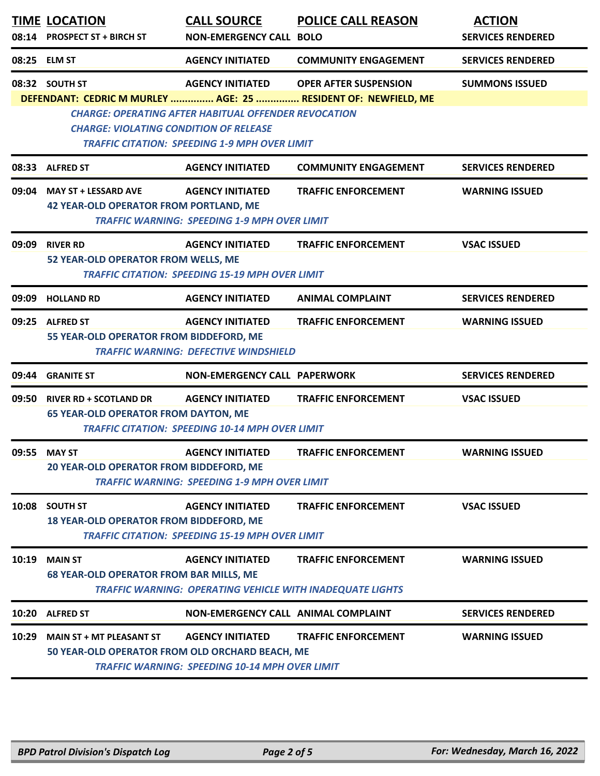|       | <b>TIME LOCATION</b><br>08:14 PROSPECT ST + BIRCH ST                               | <b>CALL SOURCE</b><br><b>NON-EMERGENCY CALL BOLO</b>                                                                                           | <b>POLICE CALL REASON</b>                                                                      | <b>ACTION</b><br><b>SERVICES RENDERED</b> |
|-------|------------------------------------------------------------------------------------|------------------------------------------------------------------------------------------------------------------------------------------------|------------------------------------------------------------------------------------------------|-------------------------------------------|
|       | 08:25 ELM ST                                                                       | <b>AGENCY INITIATED</b>                                                                                                                        | <b>COMMUNITY ENGAGEMENT</b>                                                                    | <b>SERVICES RENDERED</b>                  |
|       | 08:32 SOUTH ST<br><b>CHARGE: VIOLATING CONDITION OF RELEASE</b>                    | <b>AGENCY INITIATED</b><br><b>CHARGE: OPERATING AFTER HABITUAL OFFENDER REVOCATION</b><br><b>TRAFFIC CITATION: SPEEDING 1-9 MPH OVER LIMIT</b> | <b>OPER AFTER SUSPENSION</b><br>DEFENDANT: CEDRIC M MURLEY  AGE: 25  RESIDENT OF: NEWFIELD, ME | <b>SUMMONS ISSUED</b>                     |
|       | 08:33 ALFRED ST                                                                    | <b>AGENCY INITIATED</b>                                                                                                                        | <b>COMMUNITY ENGAGEMENT</b>                                                                    | <b>SERVICES RENDERED</b>                  |
| 09:04 | <b>MAY ST + LESSARD AVE</b><br><b>42 YEAR-OLD OPERATOR FROM PORTLAND, ME</b>       | <b>AGENCY INITIATED</b><br><b>TRAFFIC WARNING: SPEEDING 1-9 MPH OVER LIMIT</b>                                                                 | <b>TRAFFIC ENFORCEMENT</b>                                                                     | <b>WARNING ISSUED</b>                     |
| 09:09 | <b>RIVER RD</b><br>52 YEAR-OLD OPERATOR FROM WELLS, ME                             | <b>AGENCY INITIATED</b><br><b>TRAFFIC CITATION: SPEEDING 15-19 MPH OVER LIMIT</b>                                                              | <b>TRAFFIC ENFORCEMENT</b>                                                                     | <b>VSAC ISSUED</b>                        |
| 09:09 | <b>HOLLAND RD</b>                                                                  | <b>AGENCY INITIATED</b>                                                                                                                        | <b>ANIMAL COMPLAINT</b>                                                                        | <b>SERVICES RENDERED</b>                  |
| 09:25 | <b>ALFRED ST</b><br>55 YEAR-OLD OPERATOR FROM BIDDEFORD, ME                        | <b>AGENCY INITIATED</b><br><b>TRAFFIC WARNING: DEFECTIVE WINDSHIELD</b>                                                                        | <b>TRAFFIC ENFORCEMENT</b>                                                                     | <b>WARNING ISSUED</b>                     |
| 09:44 | <b>GRANITE ST</b>                                                                  | <b>NON-EMERGENCY CALL PAPERWORK</b>                                                                                                            |                                                                                                | <b>SERVICES RENDERED</b>                  |
|       | 09:50 RIVER RD + SCOTLAND DR<br><b>65 YEAR-OLD OPERATOR FROM DAYTON, ME</b>        | <b>AGENCY INITIATED</b><br><b>TRAFFIC CITATION: SPEEDING 10-14 MPH OVER LIMIT</b>                                                              | <b>TRAFFIC ENFORCEMENT</b>                                                                     | <b>VSAC ISSUED</b>                        |
|       | 09:55 MAY ST<br>20 YEAR-OLD OPERATOR FROM BIDDEFORD, ME                            | <b>AGENCY INITIATED</b><br><b>TRAFFIC WARNING: SPEEDING 1-9 MPH OVER LIMIT</b>                                                                 | <b>TRAFFIC ENFORCEMENT</b>                                                                     | <b>WARNING ISSUED</b>                     |
| 10:08 | <b>SOUTH ST</b><br>18 YEAR-OLD OPERATOR FROM BIDDEFORD, ME                         | <b>AGENCY INITIATED</b><br><b>TRAFFIC CITATION: SPEEDING 15-19 MPH OVER LIMIT</b>                                                              | <b>TRAFFIC ENFORCEMENT</b>                                                                     | <b>VSAC ISSUED</b>                        |
| 10:19 | <b>MAIN ST</b><br><b>68 YEAR-OLD OPERATOR FROM BAR MILLS, ME</b>                   | <b>AGENCY INITIATED</b><br><b>TRAFFIC WARNING: OPERATING VEHICLE WITH INADEQUATE LIGHTS</b>                                                    | <b>TRAFFIC ENFORCEMENT</b>                                                                     | <b>WARNING ISSUED</b>                     |
|       | 10:20 ALFRED ST                                                                    | NON-EMERGENCY CALL ANIMAL COMPLAINT                                                                                                            |                                                                                                | <b>SERVICES RENDERED</b>                  |
| 10:29 | <b>MAIN ST + MT PLEASANT ST</b><br>50 YEAR-OLD OPERATOR FROM OLD ORCHARD BEACH, ME | <b>AGENCY INITIATED</b><br><b>TRAFFIC WARNING: SPEEDING 10-14 MPH OVER LIMIT</b>                                                               | <b>TRAFFIC ENFORCEMENT</b>                                                                     | <b>WARNING ISSUED</b>                     |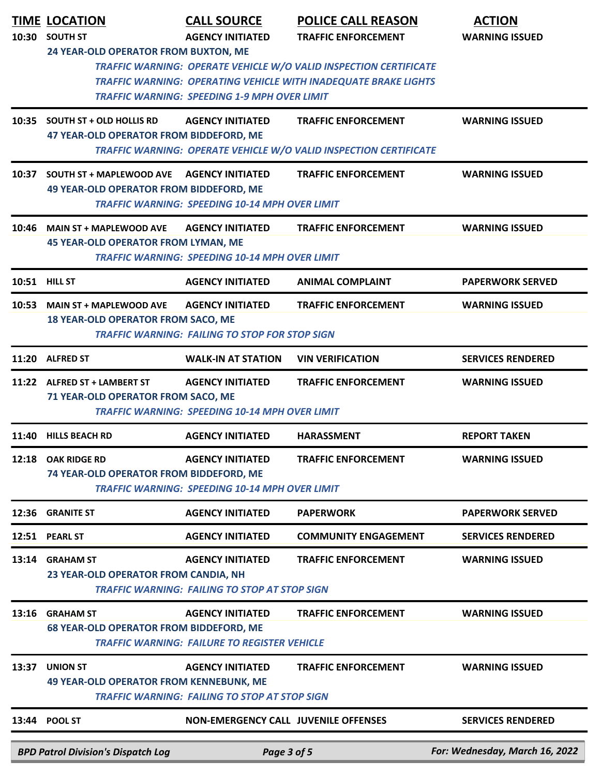| 10:30 | <b>TIME LOCATION</b><br><b>SOUTH ST</b><br>24 YEAR-OLD OPERATOR FROM BUXTON, ME | <b>CALL SOURCE</b><br><b>AGENCY INITIATED</b>                                    | <b>POLICE CALL REASON</b><br><b>TRAFFIC ENFORCEMENT</b>                                                                              | <b>ACTION</b><br><b>WARNING ISSUED</b> |
|-------|---------------------------------------------------------------------------------|----------------------------------------------------------------------------------|--------------------------------------------------------------------------------------------------------------------------------------|----------------------------------------|
|       |                                                                                 | <b>TRAFFIC WARNING: SPEEDING 1-9 MPH OVER LIMIT</b>                              | TRAFFIC WARNING: OPERATE VEHICLE W/O VALID INSPECTION CERTIFICATE<br>TRAFFIC WARNING: OPERATING VEHICLE WITH INADEQUATE BRAKE LIGHTS |                                        |
| 10:35 | <b>SOUTH ST + OLD HOLLIS RD</b><br>47 YEAR-OLD OPERATOR FROM BIDDEFORD, ME      | <b>AGENCY INITIATED</b>                                                          | <b>TRAFFIC ENFORCEMENT</b><br>TRAFFIC WARNING: OPERATE VEHICLE W/O VALID INSPECTION CERTIFICATE                                      | <b>WARNING ISSUED</b>                  |
| 10:37 | <b>SOUTH ST + MAPLEWOOD AVE</b><br>49 YEAR-OLD OPERATOR FROM BIDDEFORD, ME      | <b>AGENCY INITIATED</b><br><b>TRAFFIC WARNING: SPEEDING 10-14 MPH OVER LIMIT</b> | <b>TRAFFIC ENFORCEMENT</b>                                                                                                           | <b>WARNING ISSUED</b>                  |
| 10:46 | <b>MAIN ST + MAPLEWOOD AVE</b><br><b>45 YEAR-OLD OPERATOR FROM LYMAN, ME</b>    | <b>AGENCY INITIATED</b><br><b>TRAFFIC WARNING: SPEEDING 10-14 MPH OVER LIMIT</b> | <b>TRAFFIC ENFORCEMENT</b>                                                                                                           | <b>WARNING ISSUED</b>                  |
|       | 10:51 HILL ST                                                                   | <b>AGENCY INITIATED</b>                                                          | <b>ANIMAL COMPLAINT</b>                                                                                                              | <b>PAPERWORK SERVED</b>                |
| 10:53 | <b>MAIN ST + MAPLEWOOD AVE</b><br><b>18 YEAR-OLD OPERATOR FROM SACO, ME</b>     | <b>AGENCY INITIATED</b><br><b>TRAFFIC WARNING: FAILING TO STOP FOR STOP SIGN</b> | <b>TRAFFIC ENFORCEMENT</b>                                                                                                           | <b>WARNING ISSUED</b>                  |
| 11:20 | <b>ALFRED ST</b>                                                                | <b>WALK-IN AT STATION</b>                                                        | <b>VIN VERIFICATION</b>                                                                                                              | <b>SERVICES RENDERED</b>               |
|       | 11:22 ALFRED ST + LAMBERT ST<br>71 YEAR-OLD OPERATOR FROM SACO, ME              | <b>AGENCY INITIATED</b><br><b>TRAFFIC WARNING: SPEEDING 10-14 MPH OVER LIMIT</b> | <b>TRAFFIC ENFORCEMENT</b>                                                                                                           | <b>WARNING ISSUED</b>                  |
| 11:40 | <b>HILLS BEACH RD</b>                                                           | <b>AGENCY INITIATED</b>                                                          | <b>HARASSMENT</b>                                                                                                                    | <b>REPORT TAKEN</b>                    |
| 12:18 | <b>OAK RIDGE RD</b><br>74 YEAR-OLD OPERATOR FROM BIDDEFORD, ME                  | <b>AGENCY INITIATED</b><br><b>TRAFFIC WARNING: SPEEDING 10-14 MPH OVER LIMIT</b> | <b>TRAFFIC ENFORCEMENT</b>                                                                                                           | <b>WARNING ISSUED</b>                  |
| 12:36 | <b>GRANITE ST</b>                                                               | <b>AGENCY INITIATED</b>                                                          | <b>PAPERWORK</b>                                                                                                                     | <b>PAPERWORK SERVED</b>                |
|       | 12:51 PEARL ST                                                                  | <b>AGENCY INITIATED</b>                                                          | <b>COMMUNITY ENGAGEMENT</b>                                                                                                          | <b>SERVICES RENDERED</b>               |
| 13:14 | <b>GRAHAM ST</b><br>23 YEAR-OLD OPERATOR FROM CANDIA, NH                        | <b>AGENCY INITIATED</b><br><b>TRAFFIC WARNING: FAILING TO STOP AT STOP SIGN</b>  | <b>TRAFFIC ENFORCEMENT</b>                                                                                                           | <b>WARNING ISSUED</b>                  |
| 13:16 | <b>GRAHAM ST</b><br><b>68 YEAR-OLD OPERATOR FROM BIDDEFORD, ME</b>              | <b>AGENCY INITIATED</b><br><b>TRAFFIC WARNING: FAILURE TO REGISTER VEHICLE</b>   | <b>TRAFFIC ENFORCEMENT</b>                                                                                                           | <b>WARNING ISSUED</b>                  |
| 13:37 | <b>UNION ST</b><br><b>49 YEAR-OLD OPERATOR FROM KENNEBUNK, ME</b>               | <b>AGENCY INITIATED</b><br><b>TRAFFIC WARNING: FAILING TO STOP AT STOP SIGN</b>  | <b>TRAFFIC ENFORCEMENT</b>                                                                                                           | <b>WARNING ISSUED</b>                  |
|       | 13:44 POOL ST                                                                   | <b>NON-EMERGENCY CALL JUVENILE OFFENSES</b>                                      |                                                                                                                                      | <b>SERVICES RENDERED</b>               |
|       | <b>BPD Patrol Division's Dispatch Log</b>                                       | Page 3 of 5                                                                      |                                                                                                                                      | For: Wednesday, March 16, 2022         |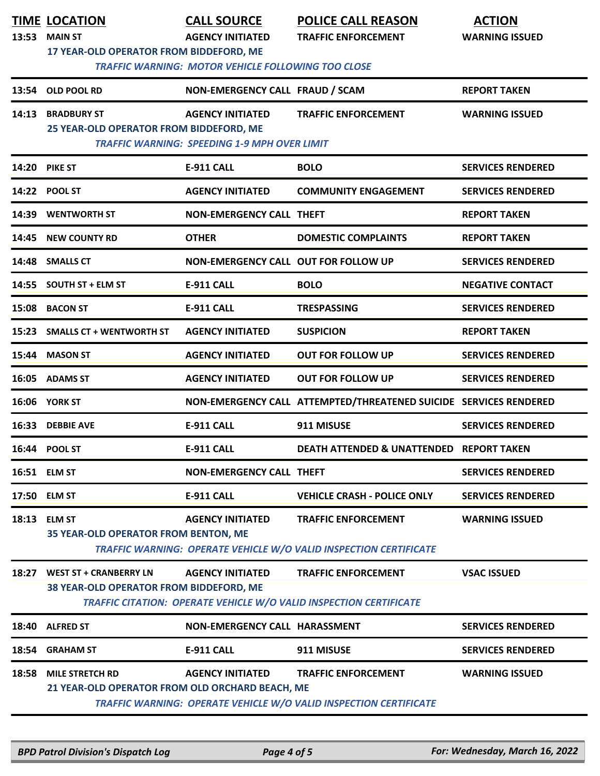| 13:53 | <b>TIME LOCATION</b><br><b>MAIN ST</b><br>17 YEAR-OLD OPERATOR FROM BIDDEFORD, ME | <b>CALL SOURCE</b><br><b>AGENCY INITIATED</b><br><b>TRAFFIC WARNING: MOTOR VEHICLE FOLLOWING TOO CLOSE</b> | <b>POLICE CALL REASON</b><br><b>TRAFFIC ENFORCEMENT</b>                                                 | <b>ACTION</b><br><b>WARNING ISSUED</b> |
|-------|-----------------------------------------------------------------------------------|------------------------------------------------------------------------------------------------------------|---------------------------------------------------------------------------------------------------------|----------------------------------------|
|       | 13:54 OLD POOL RD                                                                 | NON-EMERGENCY CALL FRAUD / SCAM                                                                            |                                                                                                         | <b>REPORT TAKEN</b>                    |
| 14:13 | <b>BRADBURY ST</b><br>25 YEAR-OLD OPERATOR FROM BIDDEFORD, ME                     | <b>AGENCY INITIATED</b><br><b>TRAFFIC WARNING: SPEEDING 1-9 MPH OVER LIMIT</b>                             | <b>TRAFFIC ENFORCEMENT</b>                                                                              | <b>WARNING ISSUED</b>                  |
| 14:20 | <b>PIKE ST</b>                                                                    | <b>E-911 CALL</b>                                                                                          | <b>BOLO</b>                                                                                             | <b>SERVICES RENDERED</b>               |
|       | 14:22 POOL ST                                                                     | <b>AGENCY INITIATED</b>                                                                                    | <b>COMMUNITY ENGAGEMENT</b>                                                                             | <b>SERVICES RENDERED</b>               |
| 14:39 | <b>WENTWORTH ST</b>                                                               | NON-EMERGENCY CALL THEFT                                                                                   |                                                                                                         | <b>REPORT TAKEN</b>                    |
| 14:45 | <b>NEW COUNTY RD</b>                                                              | <b>OTHER</b>                                                                                               | <b>DOMESTIC COMPLAINTS</b>                                                                              | <b>REPORT TAKEN</b>                    |
|       | 14:48 SMALLS CT                                                                   | NON-EMERGENCY CALL OUT FOR FOLLOW UP                                                                       |                                                                                                         | <b>SERVICES RENDERED</b>               |
|       | 14:55 SOUTH ST + ELM ST                                                           | <b>E-911 CALL</b>                                                                                          | <b>BOLO</b>                                                                                             | <b>NEGATIVE CONTACT</b>                |
| 15:08 | <b>BACON ST</b>                                                                   | <b>E-911 CALL</b>                                                                                          | <b>TRESPASSING</b>                                                                                      | <b>SERVICES RENDERED</b>               |
| 15:23 | <b>SMALLS CT + WENTWORTH ST</b>                                                   | <b>AGENCY INITIATED</b>                                                                                    | <b>SUSPICION</b>                                                                                        | <b>REPORT TAKEN</b>                    |
| 15:44 | <b>MASON ST</b>                                                                   | <b>AGENCY INITIATED</b>                                                                                    | <b>OUT FOR FOLLOW UP</b>                                                                                | <b>SERVICES RENDERED</b>               |
|       | 16:05 ADAMS ST                                                                    | <b>AGENCY INITIATED</b>                                                                                    | <b>OUT FOR FOLLOW UP</b>                                                                                | <b>SERVICES RENDERED</b>               |
|       | 16:06 YORK ST                                                                     |                                                                                                            | NON-EMERGENCY CALL ATTEMPTED/THREATENED SUICIDE SERVICES RENDERED                                       |                                        |
|       | 16:33 DEBBIE AVE                                                                  | <b>E-911 CALL</b>                                                                                          | 911 MISUSE                                                                                              | <b>SERVICES RENDERED</b>               |
|       | 16:44 POOL ST                                                                     | E-911 CALL                                                                                                 | DEATH ATTENDED & UNATTENDED REPORT TAKEN                                                                |                                        |
|       | 16:51 ELM ST                                                                      | <b>NON-EMERGENCY CALL THEFT</b>                                                                            |                                                                                                         | <b>SERVICES RENDERED</b>               |
|       | 17:50 ELM ST                                                                      | <b>E-911 CALL</b>                                                                                          | <b>VEHICLE CRASH - POLICE ONLY</b>                                                                      | <b>SERVICES RENDERED</b>               |
|       | 18:13 ELM ST<br>35 YEAR-OLD OPERATOR FROM BENTON, ME                              | <b>AGENCY INITIATED</b>                                                                                    | <b>TRAFFIC ENFORCEMENT</b><br><b>TRAFFIC WARNING: OPERATE VEHICLE W/O VALID INSPECTION CERTIFICATE</b>  | <b>WARNING ISSUED</b>                  |
|       | 18:27 WEST ST + CRANBERRY LN<br>38 YEAR-OLD OPERATOR FROM BIDDEFORD, ME           | <b>AGENCY INITIATED</b>                                                                                    | <b>TRAFFIC ENFORCEMENT</b><br><b>TRAFFIC CITATION: OPERATE VEHICLE W/O VALID INSPECTION CERTIFICATE</b> | <b>VSAC ISSUED</b>                     |
| 18:40 | <b>ALFRED ST</b>                                                                  | NON-EMERGENCY CALL HARASSMENT                                                                              |                                                                                                         | <b>SERVICES RENDERED</b>               |
| 18:54 | <b>GRAHAM ST</b>                                                                  | <b>E-911 CALL</b>                                                                                          | 911 MISUSE                                                                                              | <b>SERVICES RENDERED</b>               |
| 18:58 | <b>MILE STRETCH RD</b><br>21 YEAR-OLD OPERATOR FROM OLD ORCHARD BEACH, ME         | <b>AGENCY INITIATED</b>                                                                                    | <b>TRAFFIC ENFORCEMENT</b><br>TRAFFIC WARNING: OPERATE VEHICLE W/O VALID INSPECTION CERTIFICATE         | <b>WARNING ISSUED</b>                  |